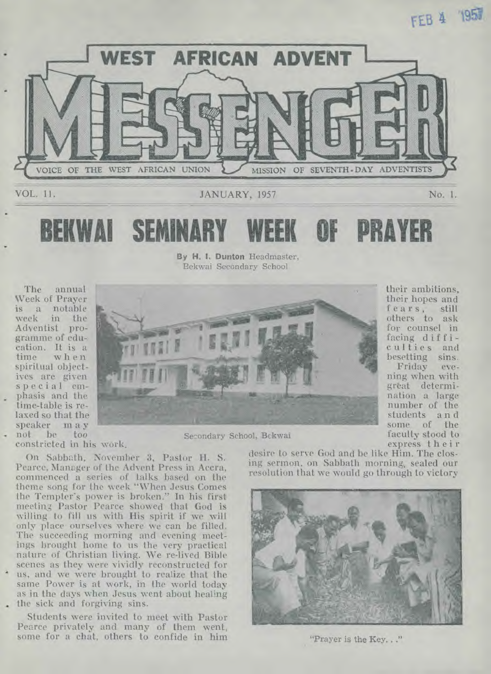**FEB 4 1957** 



**SEMINARY WEEK OF PRAYER** 

By H. I. Bunton Headmaster, Bekwai Secondary School

The annual Week of Prayer is a notable in the Adventist programme of education. It is a when spiritual objectives are given special emphasis and the time-table is relaxed so that the speaker m a y

constricted in his work,

On Sabbath, November 3, Pastor H. S. Pearce, Manager of the Advent Press in Accra, commenced a series of talks based on the theme song for the week "When Jesus Comes the Tempter's power is broken." In his first meeting Pastor Pearce showed that God is willing to fill us with His spirit if we will only place ourselves where we can be filled. The succeeding morning and evening meetings brought home to us the very practical nature of Christian living. We re-lived Bible scenes as they were vividly reconstructed for us, and we were brought to realize that the same Power is at work, in the world today as in the days when Jesus went about healing the sick and forgiving sins.

Students were invited to meet with Pastor Pearce privately and many of them went, some for a chat, others to confide in him



he too Secondary School, Bekwai

desire to serve God and be like Him. The closing sermon, on Sabbath morning, sealed our resolution that we would go through to victory



"Prayer is the Key..."

their ambitions, their hopes and fears, still others to ask for counsel in facing difficulties and besetting sins.

Friday ning when with great determination a large number of the students a n d some of the faculty stood to express their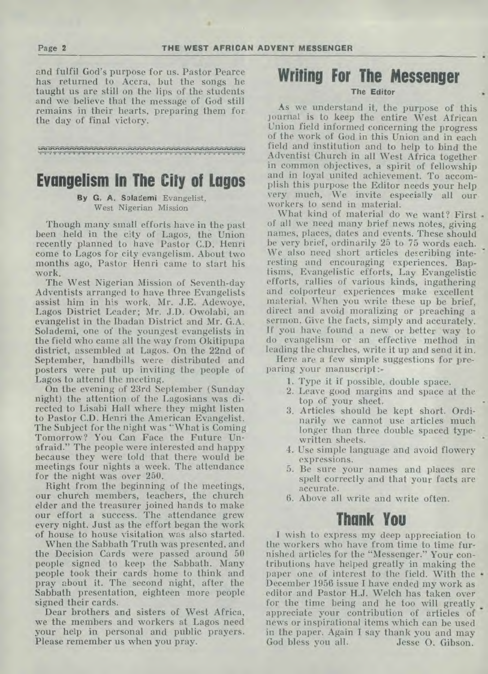and fulfil God's purpose for us. Pastor Pearce has returned to Accra, but the songs he taught us are still on the lips of the students and we believe that the message of God still remains in their hearts, preparing them for the day of final victory.

1".1!".11.11".11,41.11",11.11..W.1.11"'11. .11.11"' "11. il"

### **Evangelism In The City of Lagos**

### **By G. A. Solademi** Evangelist, West Nigerian Mission

Though many small efforts have in the past been held in the city of Lagos, the Union recently planned to have Pastor C.D. Henri come to Lagos for city evangelism. About two months ago, Pastor Henri came to start his work.

The West Nigerian Mission of Seventh-day Adventists arranged to have three Evangelists assist him in his work. Mr. J.E. Adewoye, Lagos District Leader; Mr. J.D. Owolabi, an evangelist in the Ibadan District and Mr. G.A. Solademi, one of the youngest evangelists in the field who came all the way from Okitipupa district, assembled at Lagos. On the 22nd of September, handbills were distributed and posters were put up inviting the people of Lagos to attend the meeting.

On the evening of 23rd September (Sunday night) the attention of the Lagosians was directed to Lisabi Hall where they might listen to Pastor C.D. Henri the American Evangelist. The Subject for the night was "What is Coming Tomorrow? You Can Face the Future Unafraid." The people were interested and happy because they were told that there would be meetings four nights a week. The attendance for the night was over 250.

Right from the beginning of the meetings, our church members, teachers, the church elder and the treasurer joined hands to make our effort a success. The attendance grew every night. Just as the effort began the work of house to house visitation was also started.

When the Sabbath Truth was presented, and the Decision Cards were passed around 50 people signed to keep the Sabbath. Many people took their cards home to think and pray about it. The second night, after the Sabbath presentation, eighteen more people signed their cards.

Dear brothers and sisters of West Africa, we the members and workers at Lagos need your help in personal and public prayers. Please remember us when you pray.

# **Writing For The Messenger**

**The Editor** 

As we understand it, the purpose of this journal is to keep the entire West African Union field informed concerning the progress of the work of God in this Union and in each field and institution and to help to bind the Adventist Church in all West Africa together in common objectives, a spirit of fellowship and in loyal united achievement. To accomplish this purpose the Editor needs your help very much, We invite especially all our workers to send in material.

What kind of material do we want? First of all we need many brief news notes, giving names, places, dates and events. These should be very brief, ordinarily 25 to 75 words each. We also need short articles describing interesting and encouraging experiences. Baptisms, Evangelistic efforts, Lay Evangelistic efforts, rallies of various kinds, ingathering and colporteur experiences make excellent material. When you write these up be brief, direct and avoid moralizing or preaching a sermon. Give the facts, simply and accurately. If you have found a new or better way to do evangelism or an effective method in leading the churches, write it up and send it in.

Here are a few simple suggestions for preparing your manuscript :-

- 1. Type it if possible, double space.
- 2. Leave good margins and space at the top of your sheet.
- 3. Articles should be kept short. Ordinarily we cannot use articles much longer than three double spaced typewritten sheets.
- 4. Use simple language and avoid flowery expressions.
- 5. Be sure your names and places are spelt correctly and that your facts are accurate.
- 6. Above all write and write often.

# **Thank You**

I wish to express my deep appreciation to the workers who have from time to time furnished articles for the "Messenger." Your contributions have helped greatly in making the paper one of interest to the field. With the  $\cdot$ December 1956 issue I have ended my work as editor and Pastor H.J. Welch has taken over for the time being and he too will greatly appreciate your contribution of articles of news or inspirational items which can be used in the paper. Again I say thank you and may God bless you all. Jesse O. Gibson.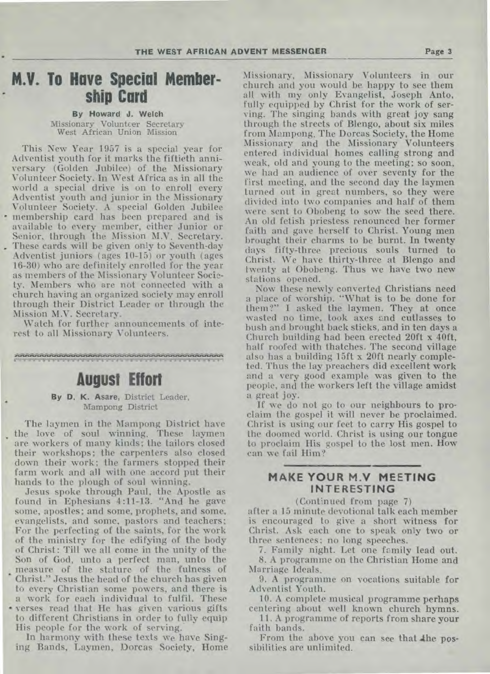## **M.V. To Have Special Membership Card**

By Howard J. **Welch**  Missionary Volunteer Secretary West African Union Mission

This New Year 1957 is a special year for Adventist youth for it marks the fiftieth anniversary (Golden Jubilee) of the Missionary Volunteer Society. In West Africa as in all the world a special drive is on to enroll every Adventist youth and junior in the Missionary Volunteer Society. A special Golden Jubilee • membership card has been prepared and is available to every member, either Junior or Senior, through the Mission M.V. Secretary. . These cards will be given only to Seventh-day Adventist juniors ( ages 10-15) or youth (ages 16-30) who are definitely enrolled for the year as members of the Missionary Volunteer Society. Members who are not connected with a church having an organized society may enroll through their District Leader or through the Mission M.V. Secretary.

Watch for further announcements of interest to all Missionary Volunteers.

0..3.11.41.\$.11.1191mtrIrInl•

### **August Effort**

By D. K. Asare, District Leader, Mampong District

The laymen in the Mampong District have the love of soul winning. These laymen are workers of many kinds; the tailors closed their workshops; the carpenters also closed down their work; the farmers stopped their farm work and all with one accord put their hands to the plough of soul winning.

Jesus spoke through Paul, the Apostle as found in Ephesians 4:11-13. "And he gave some, apostles; and some, prophets, and some, evangelists, and some, pastors and teachers; For the perfecting of the saints, for the work of the ministry for the edifying of the body of Christ : Till we all come in the unity of the Son of God, unto a perfect man, unto the measure of the stature of the fulness of Christ." Jesus the head of the church has given to every Christian some powers, and there is a work for each individual to fulfil. These • verses read that He has given various gifts to different Christians in order to fully equip

His people for the work of serving. In harmony with these texts we have Singing Bands, Laymen, Dorcas Society, Home

Missionary, Missionary Volunteers in our church and you would be happy to see them all with my only Evangelist, Joseph Anto, fully equipped by Christ for the work of serving. The singing bands with great joy sang through the streets of Blengo, about six miles from Mampong. The Dorcas Society, the Home Missionary and the Missionary Volunteers entered individual homes calling strong and weak, old and young to the meeting; so soon, we had an audience of over seventy for the first meeting, and the second day the laymen turned out in great numbers, so they were divided into two companies and half of them were sent to Obobeng to sow the seed there. An old fetish priestess renounced her former faith and gave herself to Christ. Young men brought their charms to be burnt. In twenty days fifty-three precious souls turned to Christ. We have thirty-three at Blengo and twenty at Obobeng. Thus we have two new stations opened.

Now these newly converted Christians need a place of worship. "What is to be done for them?" I asked the laymen. They at once wasted no time, took axes and cutlasses to bush and brought back sticks, and in ten days a Church building had been erected 20ft x 40ft, half roofed with thatches. The second village also has a building 15ft x 20ft nearly completed. Thus the lay preachers did excellent work and a very good example was given to the people, and the workers left the village amidst a great joy.

If we do not go to our neighbours to proclaim the gospel it will never be proclaimed. Christ is using our feet to carry His gospel to the doomed world. Christ is using our tongue to proclaim His gospel to the lost men. How can we fail Him?

### **MAKE YOUR M.V MEETING INTERESTING**

(Continued from page 7)

after a 15 minute devotional talk each member is encouraged to give a short witness for Christ. Ask each one to speak only two or three sentences; no long speeches.

7. Family night. Let one family lead out. 8. A programme on the Christian Home and Marriage Ideals.

9. A programme on vocations suitable for Adventist Youth.

10. A complete musical programme perhaps centering about well known church hymns.

11. A programme of reports from share your faith bands.

From the above you can see that the possibilities are unlimited.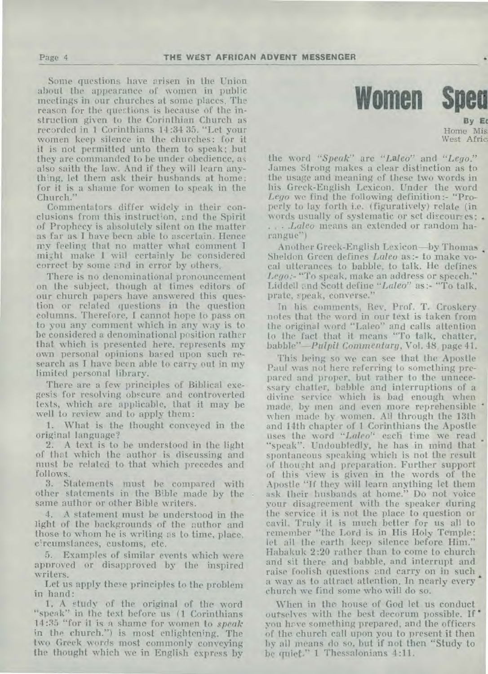Some questions have arisen in the Union about the appearance of women in public meetings in our churches at some places. The reason for the questions is because of the instruction given to the Corinthian Church as recorded in 1 Corinthians 14:34 35. "Let your women keep silence in the churches: for it it is not permitted unto them to speak; but they are commanded to be under obedience, as also saith the law. And if they will learn anything, let them ask their husbands at home: for it is a shame for women to speak in the Church."

Commentators differ widely in their conclusions from this instruction, and the Spirit of Prophecy is absolutely silent on the matter as far as I have been able to ascertain. Hence my feeling that no matter what comment I might make I will certainly be considered correct by some and in error by others.

There is no denominational pronouncement on the subject, though at times editors of our church papers have answered this question or related questions in the question columns. Therefore, I cannot hope to pass on to you any comment which in any way is to be considered a denominational position rather that which is presented here, represents my own personal opinions based upon such research as I have been able to carry out in my limited personal library.

There are a few principles of Biblical exegesis for resolving obscure and controverted texts, which are applicable, that it may be well to review and to apply them:

1. What is the thought conveyed in the original language?

2. A text is to be understood in the light of that which the author is discussing and must be related to that which precedes and follows.

3. Statements must be compared with other statements in the Bible made by the same author or other Bible writers.

4. A statement must be understood in the light of the backgrounds of the author and those to whom he is writing as to time, place, circumstances, customs, etc.

5. Examples of similar events which were approved or disapproved by the inspired writers.

Let us apply these principles to the problem in hand:

1, A study of the original of the word "speak" in the text before us (1 Corinthians 14:35 "for it is a shame for women to *speak*  in the church.") is most enlightening. The two Greek words most commonly conveying the thought which we in English express by



**By Ec Home** Mis: West Afric

the word *"Speak"* are *"Laleo"* and *"Lego."*  James Strong makes a clear distinction as to the usage.and meaning of these two words in his Greek-English Lexicon. Under the word *Lego* we find the following definition:- "Properly to lay forth i.e. (figuratively) relate (in words usually of systematic or set discourses; . . . . *.Laleo* means an extended or random harangue")

Another Greek-English Lexicon—by Thomas Sheldon Green defines *Laleo* as:- to make vocal utterances to babble, to talk. He defines *Lego*:- "To speak, make an address or specch." Liddell and Scott define *"Laleo" as :-* "To talk, prate, speak, converse."

In his comments, Rev. Prof. T. Croskery notes that the word in our text is taken from the original word "Laleo" and calls attention to the fact that it means "To talk, chatter, *babble"—Pulpit Commentary,* Vol. 48, page 41.

This being so we can see that the Apostle Paul was not here referring to something prepared and proper, but rather to the unnecessary chatter, babble and interruptions of a divine service which is bad enough when made, by men and even more reprehensible when made by women. All through the 13th and 14th chapter of 1 Corinthians the Apostle uses the word *"Lateo"* each time we read "speak". Undoubtedly, he has in mind that spontaneous speaking which is not the result of thought and preparation. Further support of this view is given in the words of the Apostle "If they will learn anything let them ask their husbands at home." Do not voice your disagreement with the speaker during the service it is not the place to question or cavil. Truly it is much better for us all to remember "the Lord is in His Holy Temple: let all the earth keep silence before Him." Habakuk 2:20 rather than to come to church and sit there and babble, and interrupt and raise foolish questions and carry on in such a way as to attract attention. In nearly every church we find some who will do so.

When in the house of God let us conduct ourselves with the best decorum possible. If you have something prepared, and the officers of the church call upon you to present it then by all means do so, but if not then "Study to be quiet," 1 Thessalonians 4:11.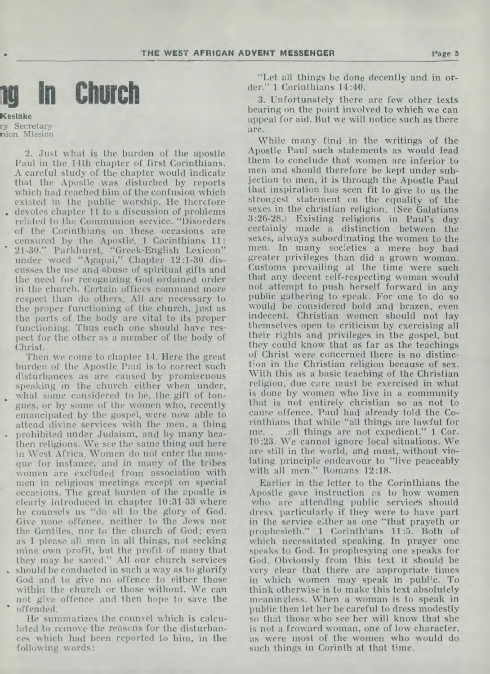

**Keslake**  ry Secretary nion Mission

2. Just what is the burden of the apostle Paul in the 14th chapter of first Corinthians. A careful study of the chapter would indicate that the Apostle was disturbed by reports which had reached him of the confusion which existed in the public worship. He therefore . devotes chapter 11 to a discussion of problems related to the Communion service. "Disorders of the Corinthians on these occasions are censured by the Apostle, 1 Corinthians 11: 21-30." Parkhurst., "Greek-English Lexicon" under word "Agapai," Chapter 12:1-30 discusses the use and abuse of spiritual gifts and the need for recognizing God ordained order in the church. Certain offices command more respect than do others. All are necessary to the proper functioning of the church, just as the parts of the body are vital to its proper functioning. Thus each one should have respect for the other as a member of the body of Christ.

Then we come to chapter 14. Here the great burden of the Apostle Paul is to correct such disturbances as are caused by promiscuous speaking in the church either when under, what some considered to be, the gift of tongues, or by some of the women who, recently emancipated by the gospel, were now able to attend divine services with the men, a thing . prohibited under Judaism, and by many heathen religions. We see the same thing out here in West Africa. Women do not enter the mosque for instance, and in many of the tribes women are excluded from association with men in religious meetings except on special occasions. The great burden of the apostle is clearly introduced in chapter 10:31-33 where he counsels us "do all to the glory of God. Give none offence, neither to the Jews nor the Gentiles, nor to the church of God; even as I please all men in all things, not seeking mine own profit, but the profit of many that they may be saved." All our church services . should be conducted in such a way as to glorify should be conducted in such a way as to glorify<br>God and to give no offence to either those within the church or those without. We can

. not give offence and then hope to save the offended.

He summarizes the counsel which is calculated to remove the reasons for the disturbances which had been reported to him, in the following words:

"Let all things be done decently and in order." 1 Corinthians 14:40.

3. Unfortunately there are few other texts bearing on the point involved to which we can appeal for aid. But we will notice such as there are.

While many find in the writings of the Apostle Paul such statements as would lead them to conclude that women are inferior to men and should therefore be kept under subjection to men, it is through the Apostle Paul that inspiration has seen fit to give to us the strongest statement on the equality of the sexes in the christian religion. (See Galatians 3:26-28.) Existing religions in Paul's day certainly made a distinction between the sexes, always subordinating the women to the men. In many societies a mere boy had greater privileges than did a grown woman. Customs prevailing at the time were such that any decent self-respecting woman would not attempt to push herself forward in any public gathering to speak. For one to do so would be considered bold and brazen, even indecent. Christian women should not lay themselves open to criticism by exercising all their rights and privileges in the gospel, but they could know that as far as the teachings of Christ were concerned there is no distinction in the Christian religion because of sex. With this as a basic teaching of the Christian religion, due care must be exercised in what is done by women who live in a community that is not entirely christian so as not to cause offence. Paul had already told the Corinthians that while "all things are lawful for all things are not expedient." 1 Cor. 10:23. We cannot ignore local situations. We are still in the world, and must, without violating principle endeavour to "live peaceably with all men." Romans 12:18.

Earlier in the letter to the Corinthians the Apostle gave instruction as to how women who are attending public services should dress, particularly if they were to have part in the service either as one "that prayeth or prophesieth." 1 Corinthians 11:5. Both of which necessitated speaking. In prayer one speaks to God. In prophesying one speaks for God. Obviously from this text it should be very clear that there are appropriate times in which women may speak in public. To think otherwise is to make this text absolutely meaningless. When a woman is to speak in public then let her be careful to dress modestly so that those who see her will know that she is not a froward woman, one of low character, as were most of the women who would do such things in Corinth at that time.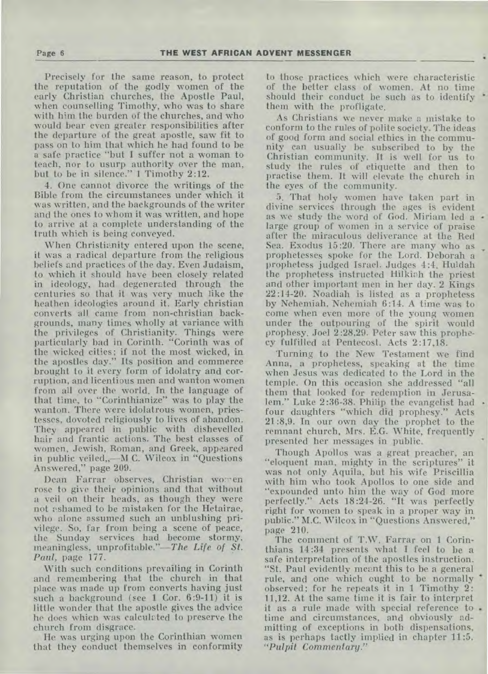Precisely for the same reason, to protect the reputation of the godly women of the early Christian churches, the Apostle Paul, when counselling Timothy, who was to share with him the burden of the churches, and who would bear even greater responsibilities after the departure of the great apostle, saw fit to pass on to him that which he had found to be a safe practice "but I suffer not a woman to teach, nor to usurp authority over the man, but to be in silence." 1 Timothy 2:12.

4. One cannot divorce the writings of the Bible from the circumstances under which it was written, and the backgrounds of the writer and the ones to whom it was written, and hope to arrive at a complete understanding of the truth which is being conveyed.

When Christianity entered upon the scene, it was a radical departure from the religious beliefs and practices of the day. Even Judaism, to which it should have been closely related in ideology, had degenerated through the centuries so that it was very much like the heathen ideologies around it. Early christian converts all came from non-christian backgrounds, many times wholly at variance with the privileges of Christianity. Things were particularly bad in Corinth. "Corinth was of the wicked cities; if not the most wicked, in the apostles day." Its position and commerce brought to it every form of idolatry and corruption, and licentious men and wanton women from all over the world. In the language of that time, to "Corinthianize" was to play the wanton. There were idolatrous women, priestesses, dovoted religiously to lives of abandon. They appeared in public with dishevelled hair and frantic actions. The best classes of women, Jewish, Roman, and Greek, appeared in public veiled,,—M C. Wileox in "Questions Answered," page 209.

Dean Farrar observes, Christian women rose to give their opinions and that without a veil on their heads, as though they were not ashamed to be mistaken for the Hetairae, who alone assumed such an unblushing privilege. So, far from being a scene of peace, the Sunday services had become stormy, meaningless, unprofitable."—The *Life of St. Paul,* page 177.

With such conditions prevailing in Corinth and remembering that the church in that place was made up from converts having just such a background (see 1 Cor. 6:9-11) it is little wonder that the apostle gives the advice he does whicn was calculated to preserve the church from disgrace.

He was urging upon the Corinthian women that they conduct themselves in conformity to those practices which were characteristic of the better class of women. At no time should their conduct be such as to identify them with the profligate.

As Christians we never make a mistake to conform to the rules of polite society. The ideas of good form and social ethics in the community can usually be subscribed to by the Christian community. It is well for us to study the rules of etiquette and then to practise them. It will elevate the church in the eyes of the community.

5. That holy women have taken part in divine services through the ages is evident as we study the word of God. Miriam led a large group of women in a service of praise after the miraculous deliverance at the Red Sea. Exodus 15:20. There are many who as prophetesses spoke for the Lord. Deborah a prophetess judged Israel. Judges 4:4. Huldah the prophetess instructed Hilkiah the priest and other important men in her day. 2 Kings 22:14-20. Noadiah is listed as a prophetess by Nehemiah. Nehemiah 6:14. A time was to come when even more of the young women under the outpouring of the spirit would prophesy. Joel 2:28,29. Peter saw this prophecy fulfilled at Pentecost. Acts 2:17,18.

Turning to the New Testament we find Anna, a prophetess, speaking at the time when Jesus was dedicated to the Lord in the temple. On this occasion she addressed "all them that looked for redemption in Jerusalem." Luke 2:36-38. Philip the evangelist had four daughters "which did prophesy." Acts 21:8,9. In our own day the prophet to the remnant church, Mrs. E.G. White, frequently presented her messages in public.

Though Apollos was a great preacher, an "eloquent man, mighty in the scriptures" it was not only Aquila, but his wife Priscillia with him who took Apollos to one side and "expounded unto him the way of God more perfectly." Acts 18:24-26. "It was perfectly right for women to speak in a proper way in public." M.G. Wilcox in "Questions Answered," page 210.

The comment of T.W. Farrar on 1 Corinthians 14:34 presents what I feel to be a safe interpretation of the apostles instruction. "St. Paul evidently meant this to be a general rule, and one which ought to be normally observed; for he repeats it in 1 Timothy 2: 11,12. At the same time it is fair to interpret it as a rule made with special reference to . time and circumstances, and obviously admitting of exceptions in both dispensations, as is perhaps tactly implied in chapter 11:5. *"Pulpit Commentary."*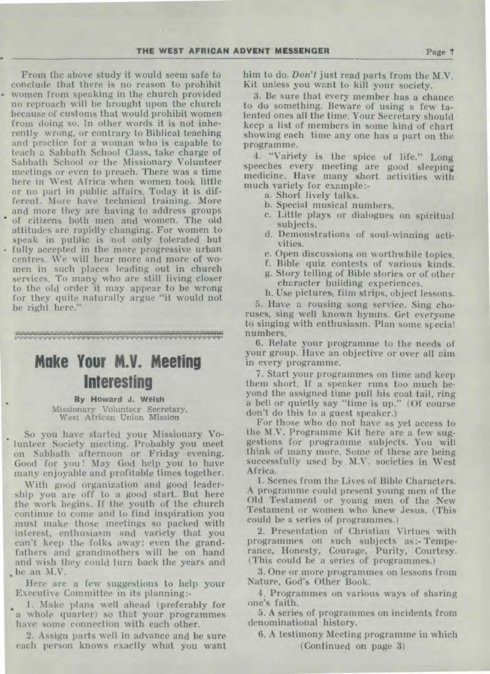From the above study it would seem safe to conclude that there is no reason to prohibit women from speaking in the church provided no reproach will be brought upon the church because of customs that would prohibit women from doing so. In other words it is not inherently wrong, or contrary to Biblical teaching and practice for a woman who is capable to teach a Sabbath School Class, take charge of Sabbath School or the Missionary Volunteer meetings or even to preach. There was a time here in West Africa when women took little or no part in public affairs. Today it is different. More have technical training. More and more they are having to address groups of citizens both men and women. The old attitudes are rapidly changing. For women to speak in public is not only tolerated but fully accepted in the more progressive urban centres. We will hear more and more of women in such places leading out in church services. To many who are still living closer to the old order it may appear to be wrong for they quite naturally argue "it would not be right here."

ile in advertisited in the dealer of the books and advertising the dealer of the line of the line of the line o<br>The complete the complete complete the dealer of the complete the complete the complete the complete the compl

# **Make Your M.V. Meeting Interesting**

**By Howard J. Welch**  Missionary Volunteer Secretary, West African Union Mission

So you have started your Missionary Volunteer Society meeting. Probably you meet on Sabbath afternoon or Friday evening. Good for you! May God help you to have many enjoyable and profitable times together.

With good organization and good leadership you are off to a good start. But here the work begins. If the youth of the church continue to come and to find inspiration you must make those meetings so packed with interest, enthusiasm and variety that you can't keep the folks away; even the grandfathers and grandmothers will be on hand and wish they could turn back the years and be an M.V.

Here are a few suggestions to help your Executive Committee in its planning:-

1. Make plans well ahead (preferably for a whole quarter) so that your programmes have some connection with each other.

2. Assign parts well in advance and be sure each person knows exactly what you want him to do. *Don't* just read parts from the M.V. Kit unless you want to kill your society.

3. Be sure that every member has a chance to do something. Beware of using a few talented ones all the time. Your Secretary should keep a list of members in some kind of chart showing each time any one has a part on the programme.

4. "Variety is the spice of life." Long speeches every meeting are good sleeping medicine. Have many short activities with much variety for example:-

- a. Short lively talks.
- b. Special musical numbers.
- c. Little plays or dialogues on spiritual subjects.
- d. Demonstrations of soul-winning activities.
- e. Open discussions on worthwhile topics.
- f. Bible quiz contests of various kinds.
- g. Story telling of Bible stories or of other character building experiences.
- h. Use pictures, film strips, object lessons.

5. Have a rousing song service. Sing choruses, sing well known hymns. Get everyone to singing with enthusiasm. Plan some special numbers.

6. Relate your programme to the needs of your group. Have an objective or over all aim in every programme.

7. Start your programmes on time and keep them short. If a speaker runs too much beyond the assigned time pull his coat tail, ring a bell or quietly say "time is up." (Of course don't do this to a guest speaker.)

For those who do not have as yet access to the M.V. Programme Kit here are a few suggestions for programme subjects. You will think of many more. Some of these are being successfully used by M.V. societies in West Africa.

1. Scenes from the Lives of Bible Characters. A programme could present young men of the Old Testament or young men of the New Testament or women who knew Jesus. (This could be a series of programmes.)

2. Presentation of Christian Virtues with programmes on such subjects as:- Temperance, Honesty, Courage, Purity, Courtesy. (This could be a series of programmes.)

3. One or more programmes on lessons from Nature, God's Other Book.

4. Programmes on various ways of sharing one's faith.

5. A series of programmes on incidents from denominational history.

6. A testimony Meeting programme in which (Continued on page 3)